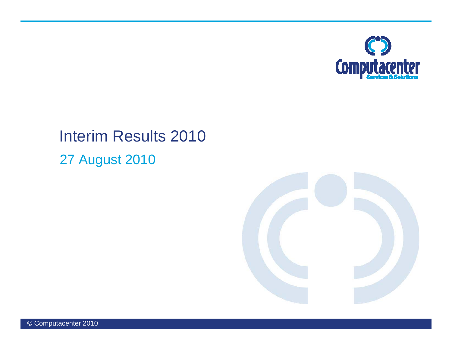

### Interim Results 2010 27 August 2010

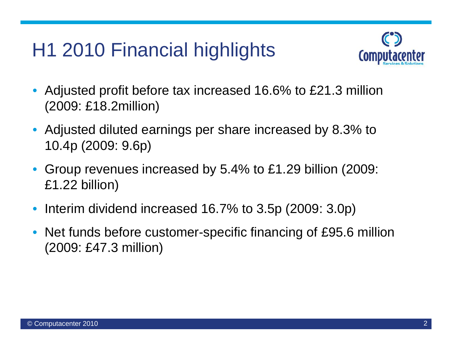# H1 2010 Financial highlights



- • Adjusted profit before tax increased 16.6% to £21.3 million (2009: £18 2million) £18.2million)
- Adjusted diluted earnings per share increased by 8.3% to 10.4p (2009: 9.6p)
- • Group revenues increased by 5.4% to £1.29 billion (2009: £1.22 billion)
- Interim dividend increased 16.7% to 3.5p (2009: 3.0p)
- Net funds before customer-specific financing of £95.6 million (2009: £47.3 million)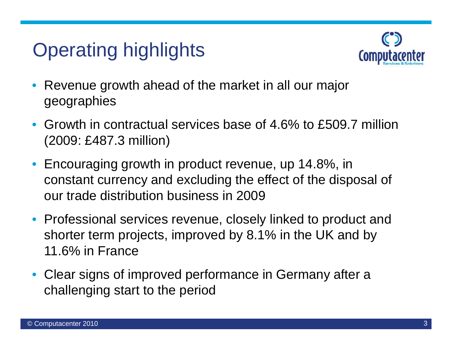# Operating highlights



- $\bullet$  Revenue growth ahead of the market in all our major geographies
- Growth in contractual services base of 4.6% to £509.7 million (2009: £487.3 million)
- Encouraging growth in product revenue, up 14.8%, in constant currency and excluding the effect of the disposal of our trade distribution business in 2009
- Professional services revenue, closely linked to product and shorter term projects, improved by 8.1% in the UK and by 11.6% in France
- Clear signs of improved performance in Germany after a challenging start to the period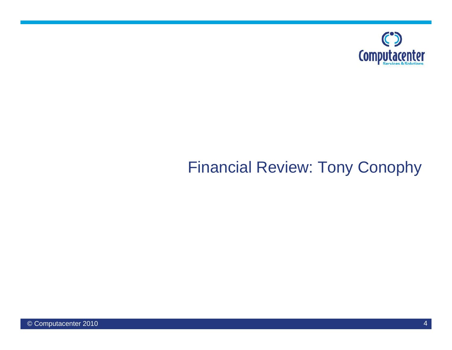

### Financial Review: Tony Conophy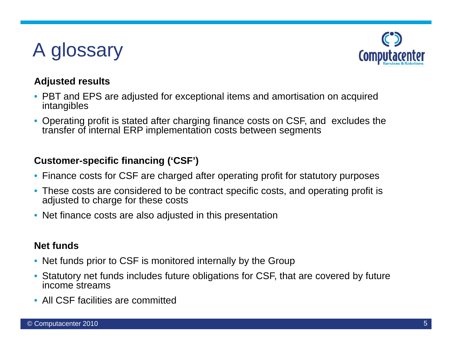# A glossary



### **Adjusted results**

- PBT and EPS are adjusted for exceptional items and amortisation on acquired intangibles
- Operating profit is stated after charging finance costs on CSF, and excludes the transfer of internal ERP implementation costs between segments

### **Customer-specific financing ('CSF')**

- Finance costs for CSF are charged after operating profit for statutory purposes
- These costs are considered to be contract specific costs, and operating profit is adjusted to charge for these costs
- Net finance costs are also adjusted in this presentation

### **Net funds**

- Net funds prior to CSF is monitored internally by the Group
- • Statutory net funds includes future obligations for CSF, that are covered by future income streams
- All CSF facilities are committed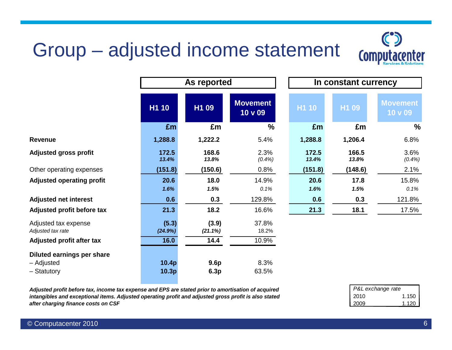# Group – adjusted income statement



|                                           | As reported      |                  |                            |                | In constant currency |                            |
|-------------------------------------------|------------------|------------------|----------------------------|----------------|----------------------|----------------------------|
|                                           | H1 10            | H1 09            | <b>Movement</b><br>10 v 09 | H1 10          | H1 09                | <b>Movement</b><br>10 v 09 |
|                                           | £m               | £m               | $\frac{0}{0}$              | £m             | £m                   | %                          |
| <b>Revenue</b>                            | 1,288.8          | 1,222.2          | 5.4%                       | 1,288.8        | 1,206.4              | 6.8%                       |
| <b>Adjusted gross profit</b>              | 172.5<br>13.4%   | 168.6<br>13.8%   | 2.3%<br>(0.4%)             | 172.5<br>13.4% | 166.5<br>13.8%       | 3.6%<br>(0.4%)             |
| Other operating expenses                  | (151.8)          | (150.6)          | 0.8%                       | (151.8)        | (148.6)              | 2.1%                       |
| <b>Adjusted operating profit</b>          | 20.6             | 18.0             | 14.9%                      | 20.6           | 17.8                 | 15.8%                      |
|                                           | 1.6%             | 1.5%             | 0.1%                       | 1.6%           | 1.5%                 | 0.1%                       |
| <b>Adjusted net interest</b>              | 0.6              | 0.3              | 129.8%                     | 0.6            | 0.3                  | 121.8%                     |
| Adjusted profit before tax                | 21.3             | 18.2             | 16.6%                      | 21.3           | 18.1                 | 17.5%                      |
| Adjusted tax expense<br>Adjusted tax rate | (5.3)<br>(24.9%) | (3.9)<br>(21.1%) | 37.8%<br>18.2%             |                |                      |                            |
| Adjusted profit after tax                 | 16.0             | 14.4             | 10.9%                      |                |                      |                            |
| <b>Diluted earnings per share</b>         |                  |                  |                            |                |                      |                            |
| - Adjusted                                | 10.4p            | 9.6 <sub>p</sub> | 8.3%                       |                |                      |                            |
| - Statutory                               | 10.3p            | 6.3p             | 63.5%                      |                |                      |                            |

*Adjusted profit before tax, income tax expense and EPS are stated prior to amortisation of acquired intangibles and exceptional items. Adjusted operating profit and adjusted gross profit is also stated after charging finance costs on CSF*

| P&L exchange rate |       |
|-------------------|-------|
| 2010              | 1.150 |
| 2009              | 1.120 |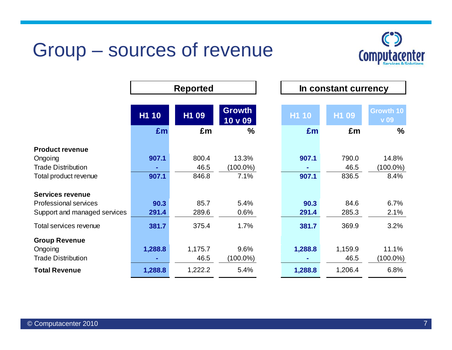## Group – sources of revenue

 $\Gamma$ 



٦

|                              | <b>Reported</b> |         |                          |              | In constant currency |                                 |
|------------------------------|-----------------|---------|--------------------------|--------------|----------------------|---------------------------------|
|                              | H1 10           | H1 09   | <b>Growth</b><br>10 v 09 | <b>H1 10</b> | H1 09                | <b>Growth 10</b><br><b>v</b> 09 |
|                              | £m              | £m      | $\frac{0}{0}$            | £m           | £m                   | $\frac{0}{0}$                   |
| <b>Product revenue</b>       |                 |         |                          |              |                      |                                 |
| Ongoing                      | 907.1           | 800.4   | 13.3%                    | 907.1        | 790.0                | 14.8%                           |
| <b>Trade Distribution</b>    |                 | 46.5    | $(100.0\%)$              |              | 46.5                 | $(100.0\%)$                     |
| Total product revenue        | 907.1           | 846.8   | 7.1%                     | 907.1        | 836.5                | 8.4%                            |
| <b>Services revenue</b>      |                 |         |                          |              |                      |                                 |
| <b>Professional services</b> | 90.3            | 85.7    | 5.4%                     | 90.3         | 84.6                 | 6.7%                            |
| Support and managed services | 291.4           | 289.6   | 0.6%                     | 291.4        | 285.3                | 2.1%                            |
| Total services revenue       | 381.7           | 375.4   | 1.7%                     | 381.7        | 369.9                | 3.2%                            |
| <b>Group Revenue</b>         |                 |         |                          |              |                      |                                 |
| Ongoing                      | 1,288.8         | 1,175.7 | 9.6%                     | 1,288.8      | 1,159.9              | 11.1%                           |
| <b>Trade Distribution</b>    |                 | 46.5    | $(100.0\%)$              |              | 46.5                 | $(100.0\%)$                     |
| <b>Total Revenue</b>         | 1,288.8         | 1,222.2 | 5.4%                     | 1,288.8      | 1,206.4              | 6.8%                            |

┓

г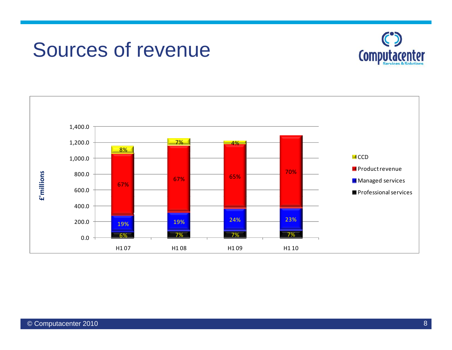## Sources of revenue



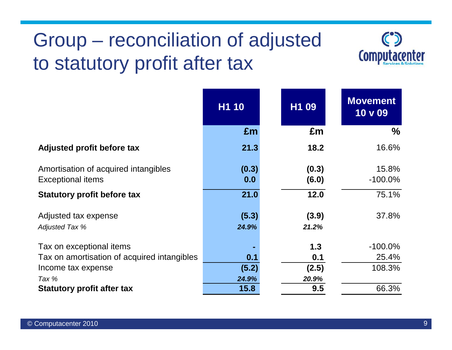# Group – reconciliation of adjusted to statutory profit after tax



|                                             | H1 10 | H1 09 | <b>Movement</b><br>10 v 09 |
|---------------------------------------------|-------|-------|----------------------------|
|                                             | £m    | £m    | $\frac{0}{0}$              |
| Adjusted profit before tax                  | 21.3  | 18.2  | 16.6%                      |
| Amortisation of acquired intangibles        | (0.3) | (0.3) | 15.8%                      |
| <b>Exceptional items</b>                    | 0.0   | (6.0) | $-100.0\%$                 |
| <b>Statutory profit before tax</b>          | 21.0  | 12.0  | 75.1%                      |
| Adjusted tax expense                        | (5.3) | (3.9) | 37.8%                      |
| <b>Adjusted Tax %</b>                       | 24.9% | 21.2% |                            |
| Tax on exceptional items                    |       | 1.3   | $-100.0\%$                 |
| Tax on amortisation of acquired intangibles | 0.1   | 0.1   | 25.4%                      |
| Income tax expense                          | (5.2) | (2.5) | 108.3%                     |
| Tax %                                       | 24.9% | 20.9% |                            |
| <b>Statutory profit after tax</b>           | 15.8  | 9.5   | 66.3%                      |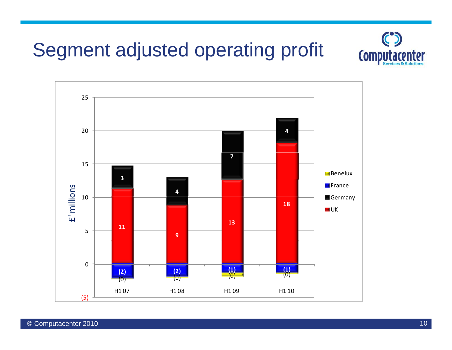# Segment adjusted operating profit



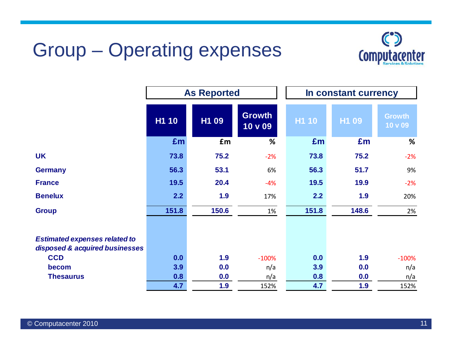# Group – Operating expenses



|                                                                        | <b>As Reported</b> |       |                          |       | In constant currency |                          |
|------------------------------------------------------------------------|--------------------|-------|--------------------------|-------|----------------------|--------------------------|
|                                                                        | <b>H1 10</b>       | H1 09 | <b>Growth</b><br>10 v 09 | H1 10 | H1 09                | <b>Growth</b><br>10 v 09 |
|                                                                        | £m                 | £m    | %                        | £m    | £m                   | %                        |
| <b>UK</b>                                                              | 73.8               | 75.2  | $-2%$                    | 73.8  | 75.2                 | $-2%$                    |
| <b>Germany</b>                                                         | 56.3               | 53.1  | 6%                       | 56.3  | 51.7                 | 9%                       |
| <b>France</b>                                                          | 19.5               | 20.4  | $-4%$                    | 19.5  | 19.9                 | $-2%$                    |
| <b>Benelux</b>                                                         | 2.2                | 1.9   | 17%                      | 2.2   | 1.9                  | 20%                      |
| <b>Group</b>                                                           | 151.8              | 150.6 | 1%                       | 151.8 | 148.6                | 2%                       |
| <b>Estimated expenses related to</b><br>disposed & acquired businesses |                    |       |                          |       |                      |                          |
| <b>CCD</b>                                                             | 0.0                | 1.9   | $-100%$                  | 0.0   | 1.9                  | $-100%$                  |
| becom                                                                  | 3.9                | 0.0   | n/a                      | 3.9   | 0.0                  | n/a                      |
| <b>Thesaurus</b>                                                       | 0.8                | 0.0   | n/a                      | 0.8   | 0.0                  | n/a                      |
|                                                                        | 4.7                | 1.9   | 152%                     | 4.7   | 1.9                  | 152%                     |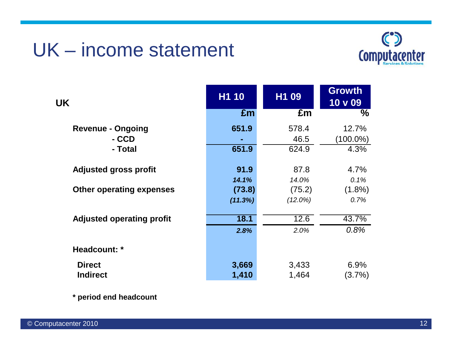### UK – income statement



| <b>UK</b>                        | H1 10   | H1 09      | <b>Growth</b><br>10 <sub>V</sub> 09 |
|----------------------------------|---------|------------|-------------------------------------|
|                                  | £m      | £m         | $\frac{0}{0}$                       |
| <b>Revenue - Ongoing</b>         | 651.9   | 578.4      | 12.7%                               |
| - CCD                            |         | 46.5       | $(100.0\%)$                         |
| - Total                          | 651.9   | 624.9      | 4.3%                                |
|                                  |         |            |                                     |
| <b>Adjusted gross profit</b>     | 91.9    | 87.8       | 4.7%                                |
|                                  | 14.1%   | 14.0%      | 0.1%                                |
| <b>Other operating expenses</b>  | (73.8)  | (75.2)     | $(1.8\%)$                           |
|                                  | (11.3%) | $(12.0\%)$ | 0.7%                                |
| <b>Adjusted operating profit</b> | 18.1    | 12.6       | 43.7%                               |
|                                  | 2.8%    | 2.0%       | 0.8%                                |
| Headcount: *                     |         |            |                                     |
| <b>Direct</b>                    | 3,669   | 3,433      | 6.9%                                |
| <b>Indirect</b>                  | 1,410   | 1,464      | $(3.7\%)$                           |

**\* period end headcount**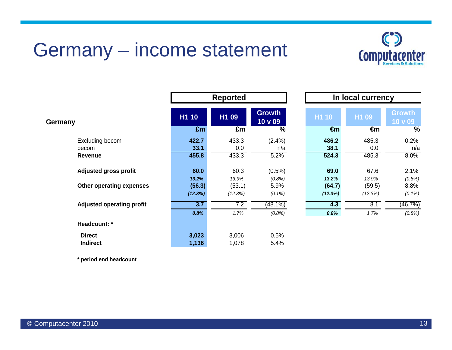## Germany – income statement

Г



**€m %**

|                                  |         | <b>Reported</b> |                          |              | In local currency |                          |  |
|----------------------------------|---------|-----------------|--------------------------|--------------|-------------------|--------------------------|--|
| Germany                          | H1 10   | H1 09           | <b>Growth</b><br>10 v 09 | H1 10        | H1 09             | <b>Growth</b><br>10 v 09 |  |
|                                  | £m      | £m              | $\frac{0}{0}$            | $\epsilon$ m | €m                | $\frac{0}{0}$            |  |
| Excluding becom                  | 422.7   | 433.3           | $(2.4\%)$                | 486.2        | 485.3             | 0.2%                     |  |
| becom                            | 33.1    | 0.0             | n/a                      | 38.1         | 0.0               | n/a                      |  |
| <b>Revenue</b>                   | 455.8   | 433.3           | 5.2%                     | 524.3        | 485.3             | 8.0%                     |  |
| <b>Adjusted gross profit</b>     | 60.0    | 60.3            | $(0.5\%)$                | 69.0         | 67.6              | 2.1%                     |  |
|                                  | 13.2%   | 13.9%           | (0.8%)                   | 13.2%        | 13.9%             | (0.8%)                   |  |
| Other operating expenses         | (56.3)  | (53.1)          | 5.9%                     | (64.7)       | (59.5)            | 8.8%                     |  |
|                                  | (12.3%) | (12.3%)         | $(0.1\%)$                | (12.3%)      | (12.3%)           | $(0.1\%)$                |  |
| <b>Adjusted operating profit</b> | 3.7     | 7.2             | $(48.1\%)$               | 4.3          | 8.1               | (46.7%)                  |  |
|                                  | 0.8%    | 1.7%            | (0.8%)                   | 0.8%         | 1.7%              | (0.8%)                   |  |
| Headcount: *                     |         |                 |                          |              |                   |                          |  |
| <b>Direct</b>                    | 3,023   | 3,006           | 0.5%                     |              |                   |                          |  |
| <b>Indirect</b>                  | 1,136   | 1,078           | 5.4%                     |              |                   |                          |  |

**\* period end headcount**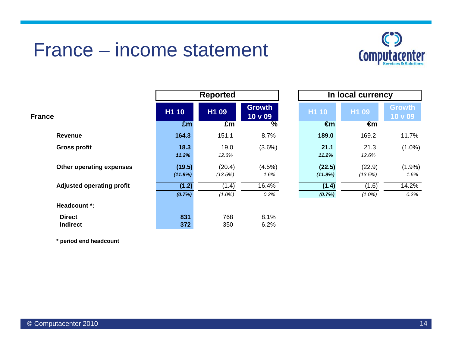### France – income statement



|                                  |                   | <b>Reported</b>   |                               |                   | In local currency |                          |  |
|----------------------------------|-------------------|-------------------|-------------------------------|-------------------|-------------------|--------------------------|--|
| <b>France</b>                    | H1 10             | H1 09             | <b>Growth</b><br>$10 \vee 09$ | H1 10             | H1 09             | <b>Growth</b><br>10 v 09 |  |
|                                  | £m                | £m                | %                             | $\epsilon$ m      | €m                |                          |  |
| <b>Revenue</b>                   | 164.3             | 151.1             | 8.7%                          | 189.0             | 169.2             | 11.7%                    |  |
| <b>Gross profit</b>              | 18.3<br>11.2%     | 19.0<br>12.6%     | $(3.6\%)$                     | 21.1<br>11.2%     | 21.3<br>12.6%     | $(1.0\%)$                |  |
| Other operating expenses         | (19.5)<br>(11.9%) | (20.4)<br>(13.5%) | $(4.5\%)$<br>1.6%             | (22.5)<br>(11.9%) | (22.9)<br>(13.5%) | (1.9%<br>1.6%            |  |
| <b>Adjusted operating profit</b> | (1.2)             | (1.4)             | 16.4%                         | (1.4)             | (1.6)             | 14.2%                    |  |
|                                  | (0.7%)            | $(1.0\%)$         | 0.2%                          | (0.7%)            | $(1.0\%)$         | 0.2%                     |  |
| Headcount *:                     |                   |                   |                               |                   |                   |                          |  |
| <b>Direct</b><br><b>Indirect</b> | 831<br>372        | 768<br>350        | 8.1%<br>6.2%                  |                   |                   |                          |  |

|                          |                   | In local currency |                          |  |  |  |  |
|--------------------------|-------------------|-------------------|--------------------------|--|--|--|--|
| h<br>9                   | H1 10             | H <sub>1</sub> 09 | <b>Growth</b><br>10 v 09 |  |  |  |  |
| $\overline{\frac{9}{6}}$ | €m                | €m                |                          |  |  |  |  |
| 7%                       | 189.0             | 169.2             | 11.7%                    |  |  |  |  |
| 3%)                      | 21.1<br>11.2%     | 21.3<br>12.6%     | $(1.0\%)$                |  |  |  |  |
| 5%)<br>6%                | (22.5)<br>(11.9%) | (22.9)<br>(13.5%) | (1.9%)<br>1.6%           |  |  |  |  |
| $\overline{1\%}$         | (1.4)             | (1.6)             | 14.2%                    |  |  |  |  |
| 2%                       | (0.7%             | $(1.0\%)$         | 0.2%                     |  |  |  |  |

**\* period end headcount**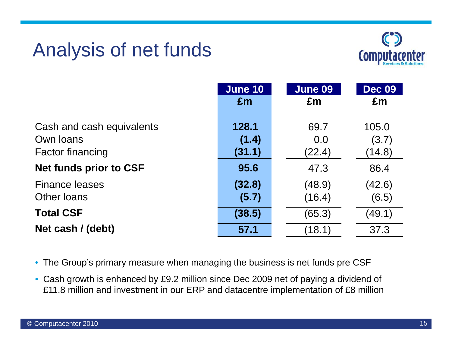# Analysis of net funds



| <b>June 10</b> | June 09 | <b>Dec 09</b><br>£m |
|----------------|---------|---------------------|
|                |         |                     |
| 128.1          | 69.7    | 105.0               |
| (1.4)          | 0.0     | (3.7)               |
| (31.1)         | (22.4)  | (14.8)              |
| 95.6           | 47.3    | 86.4                |
| (32.8)         | (48.9)  | (42.6)              |
| (5.7)          | (16.4)  | (6.5)               |
| (38.5)         | (65.3)  | (49.1)              |
| 57.1           | (18.1)  | 37.3                |
|                | Em      | £m                  |

- The Group's primary measure when managing the business is net funds pre CSF
- Cash growth is enhanced by £9.2 million since Dec 2009 net of paying a dividend of £11.8 million and investment in our ERP and datacentre implementation of £8 million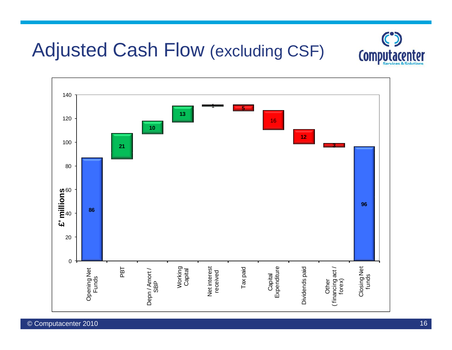### Adjusted Cash Flow (excluding CSF)



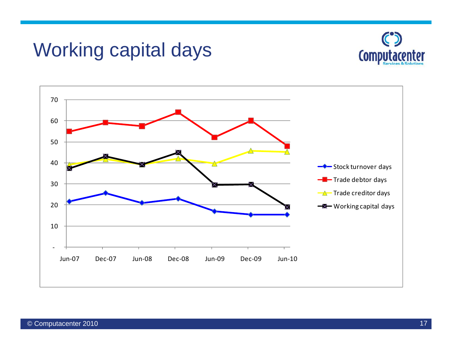### Working capital days



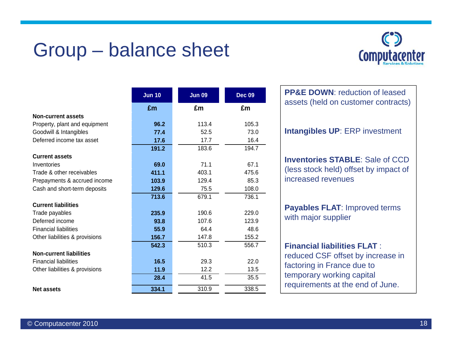## Group – balance sheet



|                                | <b>Jun 10</b> | <b>Jun 09</b> | <b>Dec 09</b> | <b>PP&amp;E DOWN: reduction of lease</b> |
|--------------------------------|---------------|---------------|---------------|------------------------------------------|
|                                | Em            | £m            | £m            | assets (held on customer contra          |
| <b>Non-current assets</b>      |               |               |               |                                          |
| Property, plant and equipment  | 96.2          | 113.4         | 105.3         |                                          |
| Goodwill & Intangibles         | 77.4          | 52.5          | 73.0          | <b>Intangibles UP: ERP investmen</b>     |
| Deferred income tax asset      | 17.6          | 17.7          | 16.4          |                                          |
|                                | 191.2         | 183.6         | 194.7         |                                          |
| <b>Current assets</b>          |               |               |               | <b>Inventories STABLE: Sale of C</b>     |
| Inventories                    | 69.0          | 71.1          | 67.1          |                                          |
| Trade & other receivables      | 411.1         | 403.1         | 475.6         | (less stock held) offset by impact       |
| Prepayments & accrued income   | 103.9         | 129.4         | 85.3          | increased revenues                       |
| Cash and short-term deposits   | 129.6         | 75.5          | 108.0         |                                          |
|                                | 713.6         | 679.1         | 736.1         |                                          |
| <b>Current liabilities</b>     |               |               |               | Payables FLAT: Improved terms            |
| Trade payables                 | 235.9         | 190.6         | 229.0         |                                          |
| Deferred income                | 93.8          | 107.6         | 123.9         | with major supplier                      |
| <b>Financial liabilities</b>   | 55.9          | 64.4          | 48.6          |                                          |
| Other liabilities & provisions | 156.7         | 147.8         | 155.2         |                                          |
|                                | 542.3         | 510.3         | 556.7         | <b>Financial liabilities FLAT:</b>       |
| <b>Non-current liabilities</b> |               |               |               | reduced CSF offset by increase           |
| <b>Financial liabilities</b>   | 16.5          | 29.3          | 22.0          |                                          |
| Other liabilities & provisions | 11.9          | 12.2          | 13.5          | factoring in France due to               |
|                                | 28.4          | 41.5          | 35.5          | temporary working capital                |
| <b>Net assets</b>              | 334.1         | 310.9         | 338.5         | requirements at the end of June.         |

assets (held on customer contracts) **Intangibles UP**: ERP investment **Inventories STABLE**: Sale of CCD (less stock held) offset by impact of increased revenues

**PP&E DOWN: reduction of leased** 

#### **Financial liabilities FLAT** :

reduced CSF offset by increase in factoring in France due to temporary working capital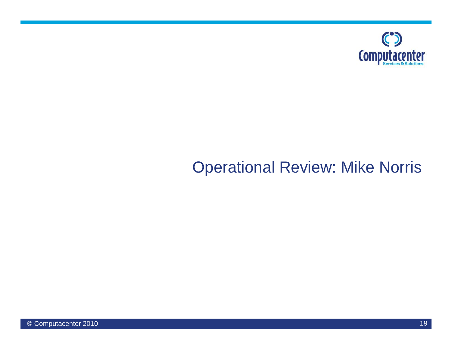

### Operational Review: Mike Norris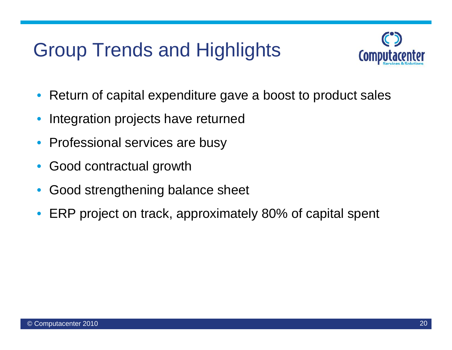# Group Trends and Highlights



- •Return of capital expenditure gave a boost to product sales
- •Integration projects have returned
- •Professional services are busy
- $\bullet$ Good contractual growth
- •• Good strengthening balance sheet
- •ERP project on track, approximately 80% of capital spent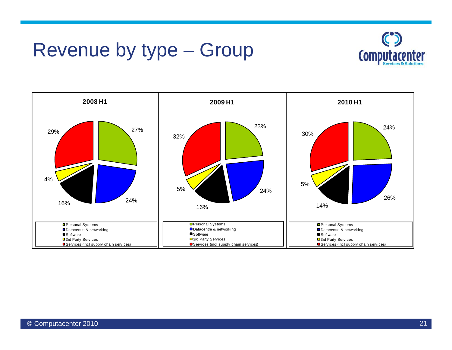## Revenue by type – Group



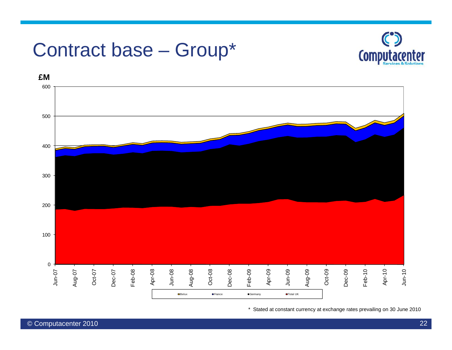# Contract base – Group\*





\* Stated at constant currency at exchange rates prevailing on 30 June 2010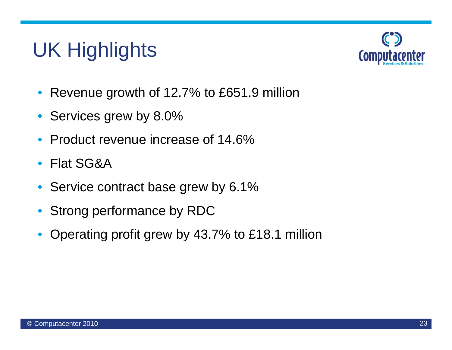# UK Highlights



- $\bullet$ Revenue growth of 12.7% to £651.9 million
- Services grew by 8.0%
- $\bullet$ Product revenue increase of 14.6%
- $\bullet$ Flat SG&A
- $\bullet$ Service contract base grew by 6.1%
- $\bullet$ Strong performance by RDC
- $\bullet$ Operating profit grew by 43.7% to £18.1 million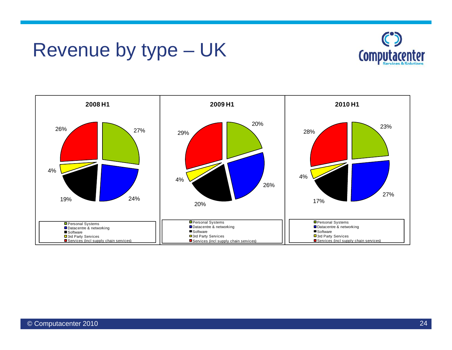## Revenue by type – UK



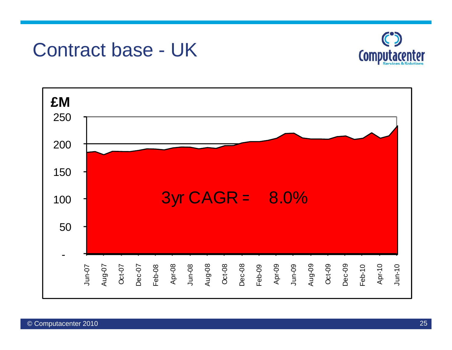### Contract base - UK



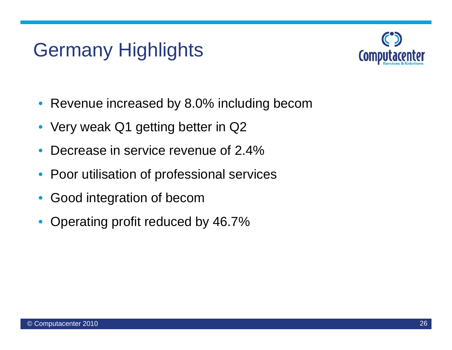# Germany Highlights



- $\bullet$ • Revenue increased by 8.0% including becom
- Very weak Q1 getting better in Q2
- $\bullet$ • Decrease in service revenue of 2.4%
- $\bullet$ Poor utilisation of professional services
- •Good integration of becom
- $\bullet$ Operating profit reduced by 46.7%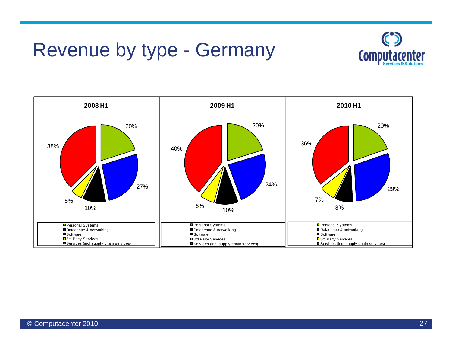### Revenue by type - Germany



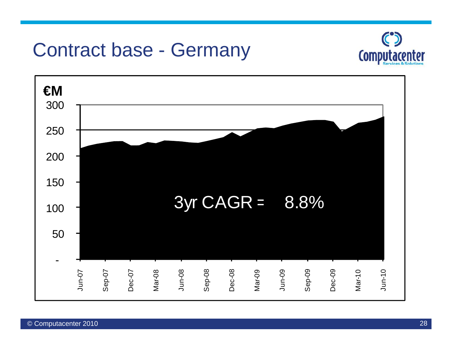# Contract base - Germany



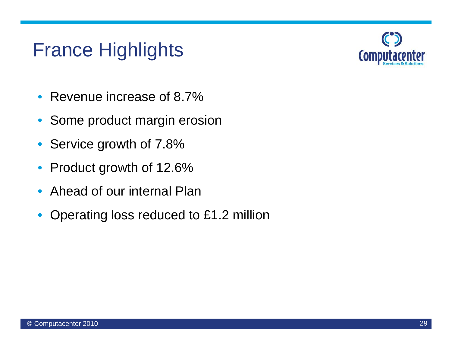# France Highlights



- $\bullet$ Revenue increase of 8.7%
- $\bullet$ Some product margin erosion
- $\bullet$ Service growth of 7.8%
- $\bullet$ Product growth of 12.6%
- $\bullet$ Ahead of our internal Plan
- $\bullet$ Operating loss reduced to £1.2 million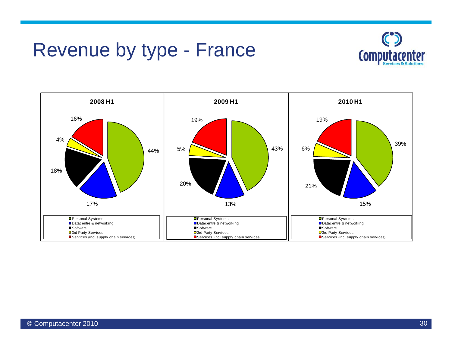## Revenue by type - France



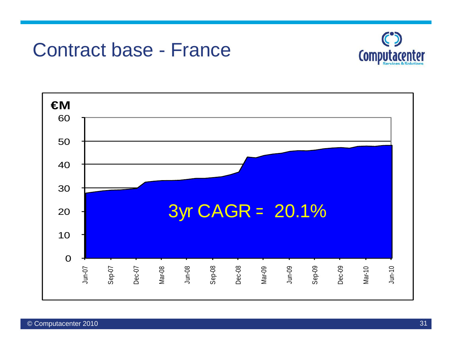### Contract base - France



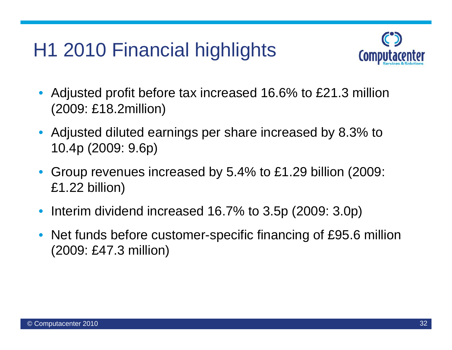# H1 2010 Financial highlights



- $\bullet$  Adjusted profit before tax increased 16.6% to £21.3 million (2009: £18 2million) £18.2million)
- Adjusted diluted earnings per share increased by 8.3% to 10.4p (2009: 9.6p)
- $\bullet$  Group revenues increased by 5.4% to £1.29 billion (2009: £1.22 billion)
- •Interim dividend increased 16.7% to 3.5p (2009: 3.0p)
- •• Net funds before customer-specific financing of £95.6 million (2009: £47.3 million)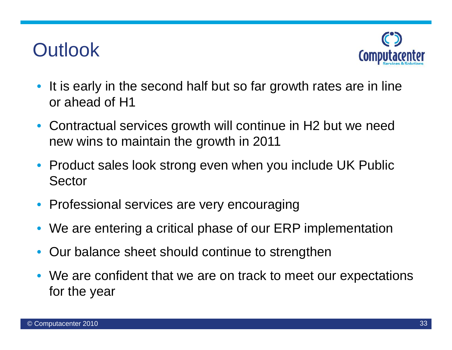# **Outlook**



- It is early in the second half but so far growth rates are in line or ahead of H1
- $\bullet$  Contractual services growth will continue in H2 but we need new wins to maintain the growth in 2011
- Product sales look strong even when you include UK Public Sector
- •Professional services are very encouraging
- •We are entering a critical phase of our ERP implementation
- •Our balance sheet should continue to strengthen
- We are confident that we are on track to meet our expectations for the year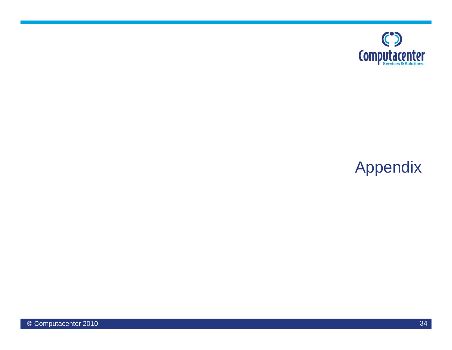

### Appendix